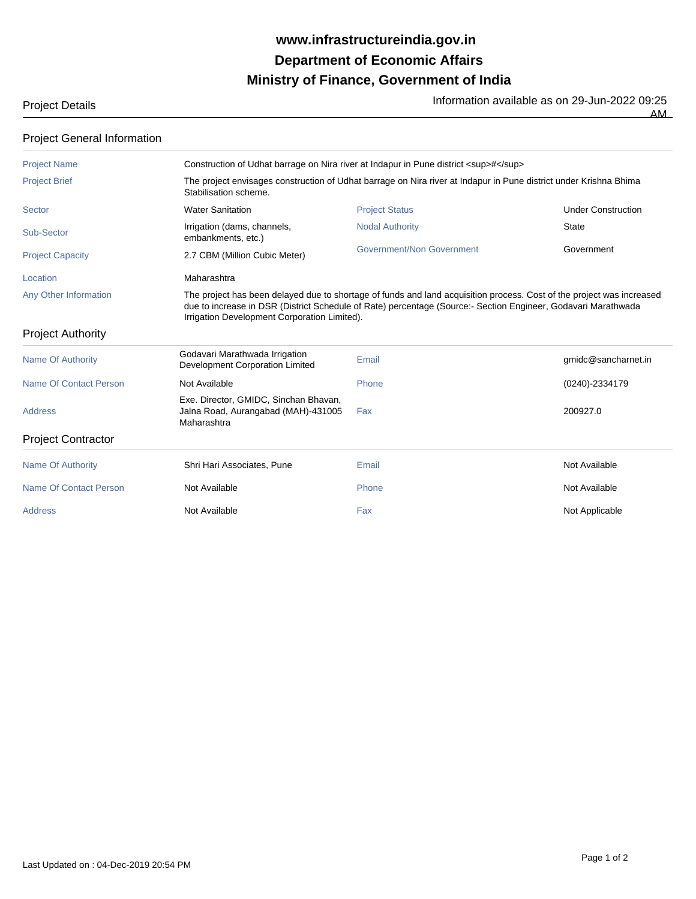## **Ministry of Finance, Government of India Department of Economic Affairs www.infrastructureindia.gov.in**

| 'niert Details |  |
|----------------|--|

Project Details **Information available as on 29-Jun-2022** 09:25 AM

| <b>Project General Information</b> |                                                                                                                                            |                                                                                                                                                                                                                                        |                           |  |  |  |
|------------------------------------|--------------------------------------------------------------------------------------------------------------------------------------------|----------------------------------------------------------------------------------------------------------------------------------------------------------------------------------------------------------------------------------------|---------------------------|--|--|--|
| <b>Project Name</b>                | Construction of Udhat barrage on Nira river at Indapur in Pune district <sup>#</sup>                                                       |                                                                                                                                                                                                                                        |                           |  |  |  |
| <b>Project Brief</b>               | The project envisages construction of Udhat barrage on Nira river at Indapur in Pune district under Krishna Bhima<br>Stabilisation scheme. |                                                                                                                                                                                                                                        |                           |  |  |  |
| Sector                             | <b>Water Sanitation</b>                                                                                                                    | <b>Project Status</b>                                                                                                                                                                                                                  | <b>Under Construction</b> |  |  |  |
| Sub-Sector                         | Irrigation (dams, channels,<br>embankments, etc.)                                                                                          | <b>Nodal Authority</b>                                                                                                                                                                                                                 | <b>State</b>              |  |  |  |
| <b>Project Capacity</b>            | 2.7 CBM (Million Cubic Meter)                                                                                                              | Government/Non Government                                                                                                                                                                                                              | Government                |  |  |  |
| Location                           | Maharashtra                                                                                                                                |                                                                                                                                                                                                                                        |                           |  |  |  |
| Any Other Information              | Irrigation Development Corporation Limited).                                                                                               | The project has been delayed due to shortage of funds and land acquisition process. Cost of the project was increased<br>due to increase in DSR (District Schedule of Rate) percentage (Source:- Section Engineer, Godavari Marathwada |                           |  |  |  |
| <b>Project Authority</b>           |                                                                                                                                            |                                                                                                                                                                                                                                        |                           |  |  |  |
| <b>Name Of Authority</b>           | Godavari Marathwada Irrigation<br>Development Corporation Limited                                                                          | Email                                                                                                                                                                                                                                  | gmidc@sancharnet.in       |  |  |  |
| Name Of Contact Person             | Not Available                                                                                                                              | Phone                                                                                                                                                                                                                                  | (0240)-2334179            |  |  |  |
| <b>Address</b>                     | Exe. Director, GMIDC, Sinchan Bhavan,<br>Jalna Road, Aurangabad (MAH)-431005<br>Maharashtra                                                | Fax                                                                                                                                                                                                                                    | 200927.0                  |  |  |  |
| <b>Project Contractor</b>          |                                                                                                                                            |                                                                                                                                                                                                                                        |                           |  |  |  |
| <b>Name Of Authority</b>           | Shri Hari Associates, Pune                                                                                                                 | Email                                                                                                                                                                                                                                  | Not Available             |  |  |  |
| Name Of Contact Person             | Not Available                                                                                                                              | Phone                                                                                                                                                                                                                                  | Not Available             |  |  |  |
| <b>Address</b>                     | Not Available                                                                                                                              | Fax                                                                                                                                                                                                                                    | Not Applicable            |  |  |  |